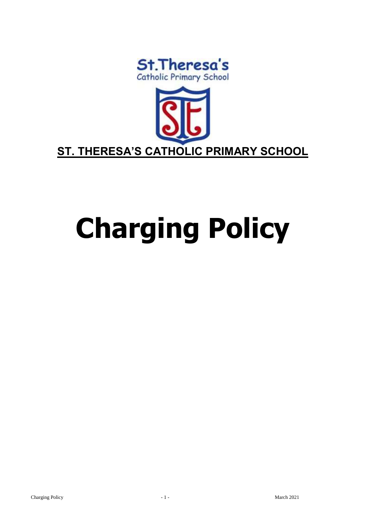



# **Charging Policy**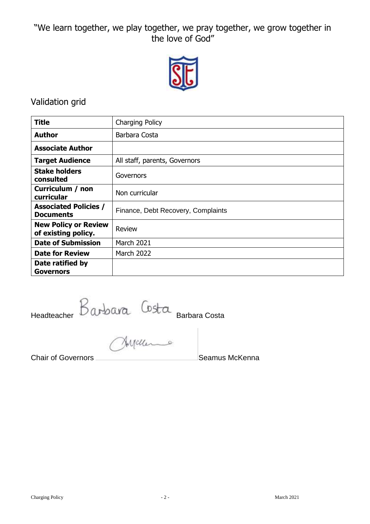"We learn together, we play together, we pray together, we grow together in the love of God"



# Validation grid

| <b>Title</b>                                       | Charging Policy                    |
|----------------------------------------------------|------------------------------------|
| <b>Author</b>                                      | Barbara Costa                      |
| <b>Associate Author</b>                            |                                    |
| <b>Target Audience</b>                             | All staff, parents, Governors      |
| <b>Stake holders</b><br>consulted                  | Governors                          |
| Curriculum / non<br>curricular                     | Non curricular                     |
| <b>Associated Policies /</b><br><b>Documents</b>   | Finance, Debt Recovery, Complaints |
| <b>New Policy or Review</b><br>of existing policy. | <b>Review</b>                      |
| <b>Date of Submission</b>                          | <b>March 2021</b>                  |
| <b>Date for Review</b>                             | <b>March 2022</b>                  |
| Date ratified by<br><b>Governors</b>               |                                    |

Headteacher Barbara Costa

**Chair of Governors** Chair Chair Chair Chair Chair Chair Chair Chair Chair Chair Chair Chair Chair Chair Chair Chair Chair Chair Chair Chair Chair Chair Chair Chair Chair Chair Chair Chair Chair Chair Chair Chair Chair Cha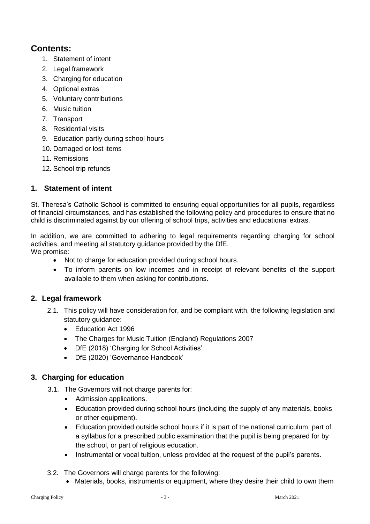# **Contents:**

- 1. Statement of intent
- 2. [Legal framework](#page-2-0)
- 3. Charging [for education](#page-2-1)
- 4. [Optional extras](#page-3-0)
- 5. [Voluntary contributions](#page-3-1)
- 6. [Music tuition](#page-4-0)
- 7. [Transport](#page-4-1)
- 8. [Residential visits](#page-4-2)
- 9. [Education partly during school hours](#page-5-0)
- 10. [Damaged or lost items](#page-5-1)
- 11. [Remissions](#page-5-2)
- 12. School trip refunds

# **1. Statement of intent**

St. Theresa's Catholic School is committed to ensuring equal opportunities for all pupils, regardless of financial circumstances, and has established the following policy and procedures to ensure that no child is discriminated against by our offering of school trips, activities and educational extras.

In addition, we are committed to adhering to legal requirements regarding charging for school activities, and meeting all statutory guidance provided by the DfE. We promise:

- Not to charge for education provided during school hours.
- To inform parents on low incomes and in receipt of relevant benefits of the support available to them when asking for contributions.

#### <span id="page-2-0"></span>**2. Legal framework**

- 2.1. This policy will have consideration for, and be compliant with, the following legislation and statutory guidance:
	- Education Act 1996
	- The Charges for Music Tuition (England) Regulations 2007
	- DfE (2018) 'Charging for School Activities'
	- DfE (2020) 'Governance Handbook'

### <span id="page-2-1"></span>**3. Charging for education**

- 3.1. The Governors will not charge parents for:
	- Admission applications.
	- Education provided during school hours (including the supply of any materials, books or other equipment).
	- Education provided outside school hours if it is part of the national curriculum, part of a syllabus for a prescribed public examination that the pupil is being prepared for by the school, or part of religious education.
	- Instrumental or vocal tuition, unless provided at the request of the pupil's parents.
- 3.2. The Governors will charge parents for the following:
	- Materials, books, instruments or equipment, where they desire their child to own them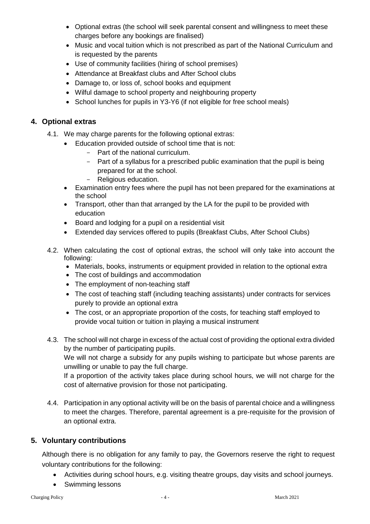- [Optional extras](#page-3-0) (the school will seek parental consent and willingness to meet these charges before any bookings are finalised)
- [Music and vocal tuition which is not prescribed as part of the](#page-4-0) National Curriculum and is requested by the parents
- Use of community facilities (hiring of school premises)
- Attendance at Breakfast clubs and After School clubs
- Damage to, or loss of, school books and equipment
- Wilful damage to school property and neighbouring property
- School lunches for pupils in Y3-Y6 (if not eligible for free school meals)

### <span id="page-3-0"></span>**4. Optional extras**

- 4.1. We may charge parents for the following optional extras:
	- Education provided outside of school time that is not:
		- Part of the national curriculum.
		- Part of a syllabus for a prescribed public examination that the pupil is being prepared for at the school.
		- Religious education.
	- Examination entry fees where the pupil has not been prepared for the examinations at the school
	- Transport, other than that arranged by the LA for the pupil to be provided with education
	- Board and lodging for a pupil on a residential visit
	- Extended day services offered to pupils (Breakfast Clubs, After School Clubs)
- 4.2. When calculating the cost of optional extras, the school will only take into account the following:
	- Materials, books, instruments or equipment provided in relation to the optional extra
	- The cost of buildings and accommodation
	- The employment of non-teaching staff
	- The cost of teaching staff (including teaching assistants) under contracts for services purely to provide an optional extra
	- The cost, or an appropriate proportion of the costs, for teaching staff employed to provide vocal tuition or tuition in playing a musical instrument
- 4.3. The school will not charge in excess of the actual cost of providing the optional extra divided by the number of participating pupils.

We will not charge a subsidy for any pupils wishing to participate but whose parents are unwilling or unable to pay the full charge.

If a proportion of the activity takes place during school hours, we will not charge for the cost of alternative provision for those not participating.

4.4. Participation in any optional activity will be on the basis of parental choice and a willingness to meet the charges. Therefore, parental agreement is a pre-requisite for the provision of an optional extra.

### <span id="page-3-1"></span>**5. Voluntary contributions**

Although there is no obligation for any family to pay, the Governors reserve the right to request voluntary contributions for the following:

- Activities during school hours, e.g. visiting theatre groups, day visits and school journeys.
- Swimming lessons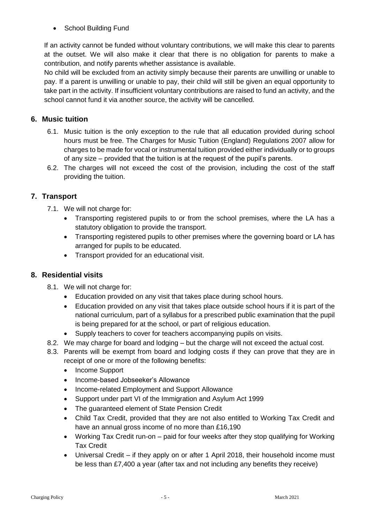• School Building Fund

If an activity cannot be funded without voluntary contributions, we will make this clear to parents at the outset. We will also make it clear that there is no obligation for parents to make a contribution, and notify parents whether assistance is available.

No child will be excluded from an activity simply because their parents are unwilling or unable to pay. If a parent is unwilling or unable to pay, their child will still be given an equal opportunity to take part in the activity. If insufficient voluntary contributions are raised to fund an activity, and the school cannot fund it via another source, the activity will be cancelled.

## <span id="page-4-0"></span>**6. Music tuition**

- 6.1. Music tuition is the only exception to the rule that all education provided during school hours must be free. The Charges for Music Tuition (England) Regulations 2007 allow for charges to be made for vocal or instrumental tuition provided either individually or to groups of any size – provided that the tuition is at the request of the pupil's parents.
- 6.2. The charges will not exceed the cost of the provision, including the cost of the staff providing the tuition.

# <span id="page-4-1"></span>**7. Transport**

- 7.1. We will not charge for:
	- Transporting registered pupils to or from the school premises, where the LA has a statutory obligation to provide the transport.
	- Transporting registered pupils to other premises where the governing board or LA has arranged for pupils to be educated.
	- Transport provided for an educational visit.

### <span id="page-4-2"></span>**8. Residential visits**

- 8.1. We will not charge for:
	- Education provided on any visit that takes place during school hours.
	- Education provided on any visit that takes place outside school hours if it is part of the national curriculum, part of a syllabus for a prescribed public examination that the pupil is being prepared for at the school, or part of religious education.
	- Supply teachers to cover for teachers accompanying pupils on visits.
- 8.2. We may charge for board and lodging but the charge will not exceed the actual cost.
- 8.3. Parents will be exempt from board and lodging costs if they can prove that they are in receipt of one or more of the following benefits:
	- Income Support
	- Income-based Jobseeker's Allowance
	- Income-related Employment and Support Allowance
	- Support under part VI of the Immigration and Asylum Act 1999
	- The guaranteed element of State Pension Credit
	- Child Tax Credit, provided that they are not also entitled to Working Tax Credit and have an annual gross income of no more than £16,190
	- Working Tax Credit run-on paid for four weeks after they stop qualifying for Working Tax Credit
	- Universal Credit if they apply on or after 1 April 2018, their household income must be less than £7,400 a year (after tax and not including any benefits they receive)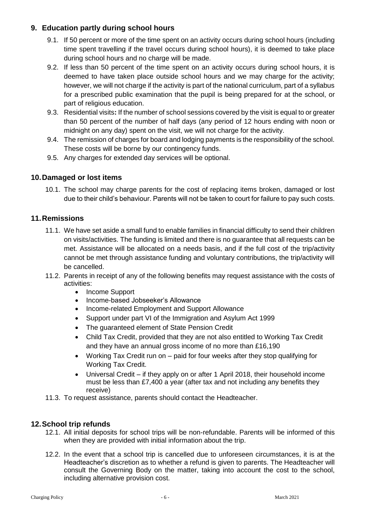#### <span id="page-5-0"></span>**9. Education partly during school hours**

- 9.1. If 50 percent or more of the time spent on an activity occurs during school hours (including time spent travelling if the travel occurs during school hours), it is deemed to take place during school hours and no charge will be made.
- 9.2. If less than 50 percent of the time spent on an activity occurs during school hours, it is deemed to have taken place outside school hours and we may charge for the activity; however, we will not charge if the activity is part of the national curriculum, part of a syllabus for a prescribed public examination that the pupil is being prepared for at the school, or part of religious education.
- 9.3. Residential visits**:** If the number of school sessions covered by the visit is equal to or greater than 50 percent of the number of half days (any period of 12 hours ending with noon or midnight on any day) spent on the visit, we will not charge for the activity.
- 9.4. The remission of charges for board and lodging payments is the responsibility of the school. These costs will be borne by our contingency funds.
- 9.5. Any charges for extended day services will be optional.

#### <span id="page-5-1"></span>**10.Damaged or lost items**

10.1. The school may charge parents for the cost of replacing items broken, damaged or lost due to their child's behaviour. Parents will not be taken to court for failure to pay such costs.

#### <span id="page-5-2"></span>**11.Remissions**

- 11.1. We have set aside a small fund to enable families in financial difficulty to send their children on visits/activities. The funding is limited and there is no guarantee that all requests can be met. Assistance will be allocated on a needs basis, and if the full cost of the trip/activity cannot be met through assistance funding and voluntary contributions, the trip/activity will be cancelled.
- 11.2. Parents in receipt of any of the following benefits may request assistance with the costs of activities:
	- Income Support
	- Income-based Jobseeker's Allowance
	- Income-related Employment and Support Allowance
	- Support under part VI of the Immigration and Asylum Act 1999
	- The quaranteed element of State Pension Credit
	- Child Tax Credit, provided that they are not also entitled to Working Tax Credit and they have an annual gross income of no more than £16,190
	- Working Tax Credit run on paid for four weeks after they stop qualifying for Working Tax Credit.
	- Universal Credit if they apply on or after 1 April 2018, their household income must be less than £7,400 a year (after tax and not including any benefits they receive)
- 11.3. To request assistance, parents should contact the Headteacher.

#### **12.School trip refunds**

- 12.1. All initial deposits for school trips will be non-refundable. Parents will be informed of this when they are provided with initial information about the trip.
- 12.2. In the event that a school trip is cancelled due to unforeseen circumstances, it is at the Headteacher's discretion as to whether a refund is given to parents. The Headteacher will consult the Governing Body on the matter, taking into account the cost to the school, including alternative provision cost.